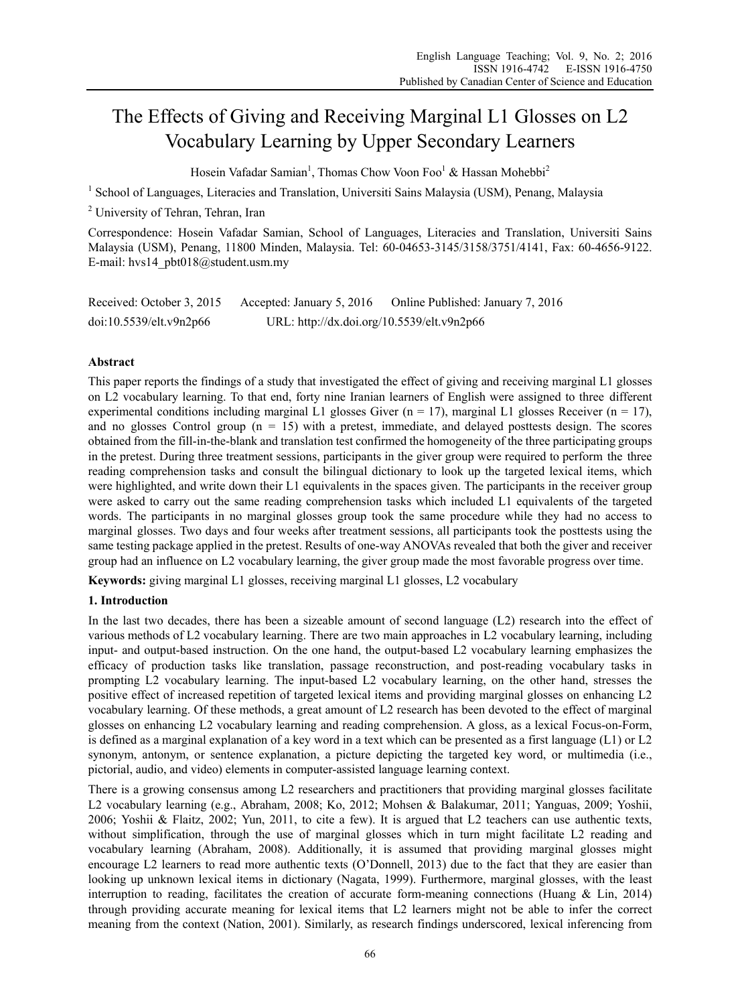# The Effects of Giving and Receiving Marginal L1 Glosses on L2 Vocabulary Learning by Upper Secondary Learners

Hosein Vafadar Samian<sup>1</sup>, Thomas Chow Voon Foo<sup>1</sup> & Hassan Mohebbi<sup>2</sup>

<sup>1</sup> School of Languages, Literacies and Translation, Universiti Sains Malaysia (USM), Penang, Malaysia

<sup>2</sup> University of Tehran, Tehran, Iran

Correspondence: Hosein Vafadar Samian, School of Languages, Literacies and Translation, Universiti Sains Malaysia (USM), Penang, 11800 Minden, Malaysia. Tel: 60-04653-3145/3158/3751/4141, Fax: 60-4656-9122. E-mail: hvs14\_pbt018@student.usm.my

| Received: October 3, 2015 | Accepted: January 5, 2016                  | Online Published: January 7, 2016 |
|---------------------------|--------------------------------------------|-----------------------------------|
| doi:10.5539/elt.v9n2p66   | URL: http://dx.doi.org/10.5539/elt.v9n2p66 |                                   |

## **Abstract**

This paper reports the findings of a study that investigated the effect of giving and receiving marginal L1 glosses on L2 vocabulary learning. To that end, forty nine Iranian learners of English were assigned to three different experimental conditions including marginal L1 glosses Giver  $(n = 17)$ , marginal L1 glosses Receiver  $(n = 17)$ , and no glosses Control group  $(n = 15)$  with a pretest, immediate, and delayed posttests design. The scores obtained from the fill-in-the-blank and translation test confirmed the homogeneity of the three participating groups in the pretest. During three treatment sessions, participants in the giver group were required to perform the three reading comprehension tasks and consult the bilingual dictionary to look up the targeted lexical items, which were highlighted, and write down their L1 equivalents in the spaces given. The participants in the receiver group were asked to carry out the same reading comprehension tasks which included L1 equivalents of the targeted words. The participants in no marginal glosses group took the same procedure while they had no access to marginal glosses. Two days and four weeks after treatment sessions, all participants took the posttests using the same testing package applied in the pretest. Results of one-way ANOVAs revealed that both the giver and receiver group had an influence on L2 vocabulary learning, the giver group made the most favorable progress over time.

**Keywords:** giving marginal L1 glosses, receiving marginal L1 glosses, L2 vocabulary

### **1. Introduction**

In the last two decades, there has been a sizeable amount of second language (L2) research into the effect of various methods of L2 vocabulary learning. There are two main approaches in L2 vocabulary learning, including input- and output-based instruction. On the one hand, the output-based L2 vocabulary learning emphasizes the efficacy of production tasks like translation, passage reconstruction, and post-reading vocabulary tasks in prompting L2 vocabulary learning. The input-based L2 vocabulary learning, on the other hand, stresses the positive effect of increased repetition of targeted lexical items and providing marginal glosses on enhancing L2 vocabulary learning. Of these methods, a great amount of L2 research has been devoted to the effect of marginal glosses on enhancing L2 vocabulary learning and reading comprehension. A gloss, as a lexical Focus-on-Form, is defined as a marginal explanation of a key word in a text which can be presented as a first language (L1) or L2 synonym, antonym, or sentence explanation, a picture depicting the targeted key word, or multimedia (i.e., pictorial, audio, and video) elements in computer-assisted language learning context.

There is a growing consensus among L2 researchers and practitioners that providing marginal glosses facilitate L2 vocabulary learning (e.g., Abraham, 2008; Ko, 2012; Mohsen & Balakumar, 2011; Yanguas, 2009; Yoshii, 2006; Yoshii & Flaitz, 2002; Yun, 2011, to cite a few). It is argued that L2 teachers can use authentic texts, without simplification, through the use of marginal glosses which in turn might facilitate L2 reading and vocabulary learning (Abraham, 2008). Additionally, it is assumed that providing marginal glosses might encourage L2 learners to read more authentic texts (O'Donnell, 2013) due to the fact that they are easier than looking up unknown lexical items in dictionary (Nagata, 1999). Furthermore, marginal glosses, with the least interruption to reading, facilitates the creation of accurate form-meaning connections (Huang & Lin, 2014) through providing accurate meaning for lexical items that L2 learners might not be able to infer the correct meaning from the context (Nation, 2001). Similarly, as research findings underscored, lexical inferencing from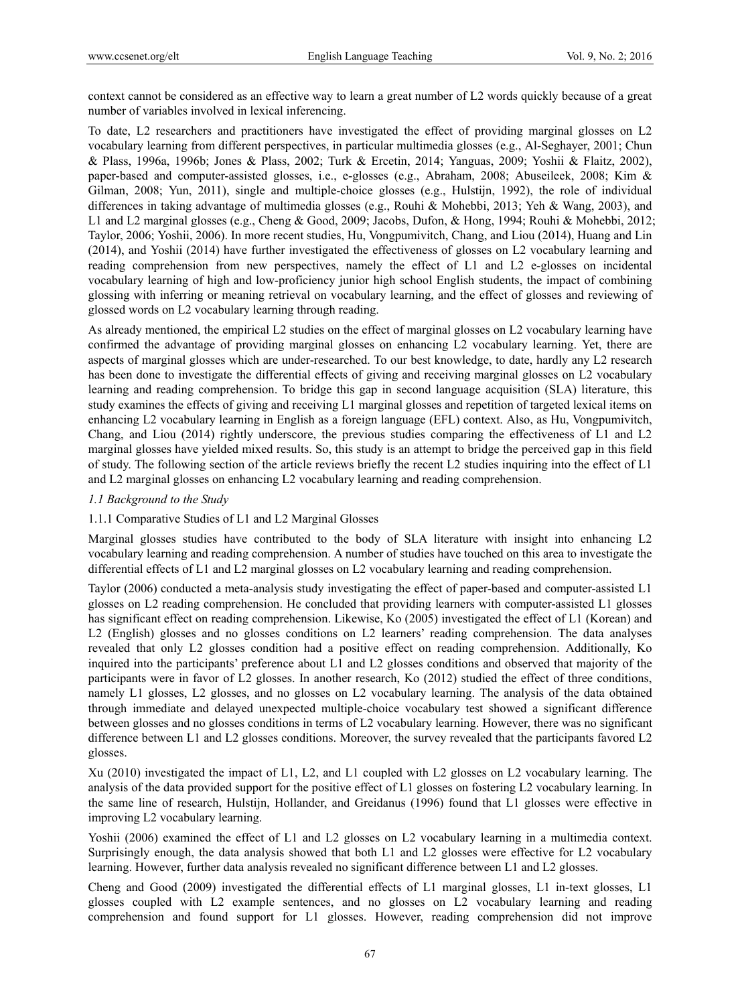context cannot be considered as an effective way to learn a great number of L2 words quickly because of a great number of variables involved in lexical inferencing.

To date, L2 researchers and practitioners have investigated the effect of providing marginal glosses on L2 vocabulary learning from different perspectives, in particular multimedia glosses (e.g., Al-Seghayer, 2001; Chun & Plass, 1996a, 1996b; Jones & Plass, 2002; Turk & Ercetin, 2014; Yanguas, 2009; Yoshii & Flaitz, 2002), paper-based and computer-assisted glosses, i.e., e-glosses (e.g., Abraham, 2008; Abuseileek, 2008; Kim & Gilman, 2008; Yun, 2011), single and multiple-choice glosses (e.g., Hulstijn, 1992), the role of individual differences in taking advantage of multimedia glosses (e.g., Rouhi & Mohebbi, 2013; Yeh & Wang, 2003), and L1 and L2 marginal glosses (e.g., Cheng & Good, 2009; Jacobs, Dufon, & Hong, 1994; Rouhi & Mohebbi, 2012; Taylor, 2006; Yoshii, 2006). In more recent studies, Hu, Vongpumivitch, Chang, and Liou (2014), Huang and Lin (2014), and Yoshii (2014) have further investigated the effectiveness of glosses on L2 vocabulary learning and reading comprehension from new perspectives, namely the effect of L1 and L2 e-glosses on incidental vocabulary learning of high and low-proficiency junior high school English students, the impact of combining glossing with inferring or meaning retrieval on vocabulary learning, and the effect of glosses and reviewing of glossed words on L2 vocabulary learning through reading.

As already mentioned, the empirical L2 studies on the effect of marginal glosses on L2 vocabulary learning have confirmed the advantage of providing marginal glosses on enhancing L2 vocabulary learning. Yet, there are aspects of marginal glosses which are under-researched. To our best knowledge, to date, hardly any L2 research has been done to investigate the differential effects of giving and receiving marginal glosses on L2 vocabulary learning and reading comprehension. To bridge this gap in second language acquisition (SLA) literature, this study examines the effects of giving and receiving L1 marginal glosses and repetition of targeted lexical items on enhancing L2 vocabulary learning in English as a foreign language (EFL) context. Also, as Hu, Vongpumivitch, Chang, and Liou (2014) rightly underscore, the previous studies comparing the effectiveness of L1 and L2 marginal glosses have yielded mixed results. So, this study is an attempt to bridge the perceived gap in this field of study. The following section of the article reviews briefly the recent L2 studies inquiring into the effect of L1 and L2 marginal glosses on enhancing L2 vocabulary learning and reading comprehension.

#### *1.1 Background to the Study*

## 1.1.1 Comparative Studies of L1 and L2 Marginal Glosses

Marginal glosses studies have contributed to the body of SLA literature with insight into enhancing L2 vocabulary learning and reading comprehension. A number of studies have touched on this area to investigate the differential effects of L1 and L2 marginal glosses on L2 vocabulary learning and reading comprehension.

Taylor (2006) conducted a meta-analysis study investigating the effect of paper-based and computer-assisted L1 glosses on L2 reading comprehension. He concluded that providing learners with computer-assisted L1 glosses has significant effect on reading comprehension. Likewise, Ko (2005) investigated the effect of L1 (Korean) and L2 (English) glosses and no glosses conditions on L2 learners' reading comprehension. The data analyses revealed that only L2 glosses condition had a positive effect on reading comprehension. Additionally, Ko inquired into the participants' preference about L1 and L2 glosses conditions and observed that majority of the participants were in favor of L2 glosses. In another research, Ko (2012) studied the effect of three conditions, namely L1 glosses, L2 glosses, and no glosses on L2 vocabulary learning. The analysis of the data obtained through immediate and delayed unexpected multiple-choice vocabulary test showed a significant difference between glosses and no glosses conditions in terms of L2 vocabulary learning. However, there was no significant difference between L1 and L2 glosses conditions. Moreover, the survey revealed that the participants favored L2 glosses.

Xu (2010) investigated the impact of L1, L2, and L1 coupled with L2 glosses on L2 vocabulary learning. The analysis of the data provided support for the positive effect of L1 glosses on fostering L2 vocabulary learning. In the same line of research, Hulstijn, Hollander, and Greidanus (1996) found that L1 glosses were effective in improving L2 vocabulary learning.

Yoshii (2006) examined the effect of L1 and L2 glosses on L2 vocabulary learning in a multimedia context. Surprisingly enough, the data analysis showed that both L1 and L2 glosses were effective for L2 vocabulary learning. However, further data analysis revealed no significant difference between L1 and L2 glosses.

Cheng and Good (2009) investigated the differential effects of L1 marginal glosses, L1 in-text glosses, L1 glosses coupled with L2 example sentences, and no glosses on L2 vocabulary learning and reading comprehension and found support for L1 glosses. However, reading comprehension did not improve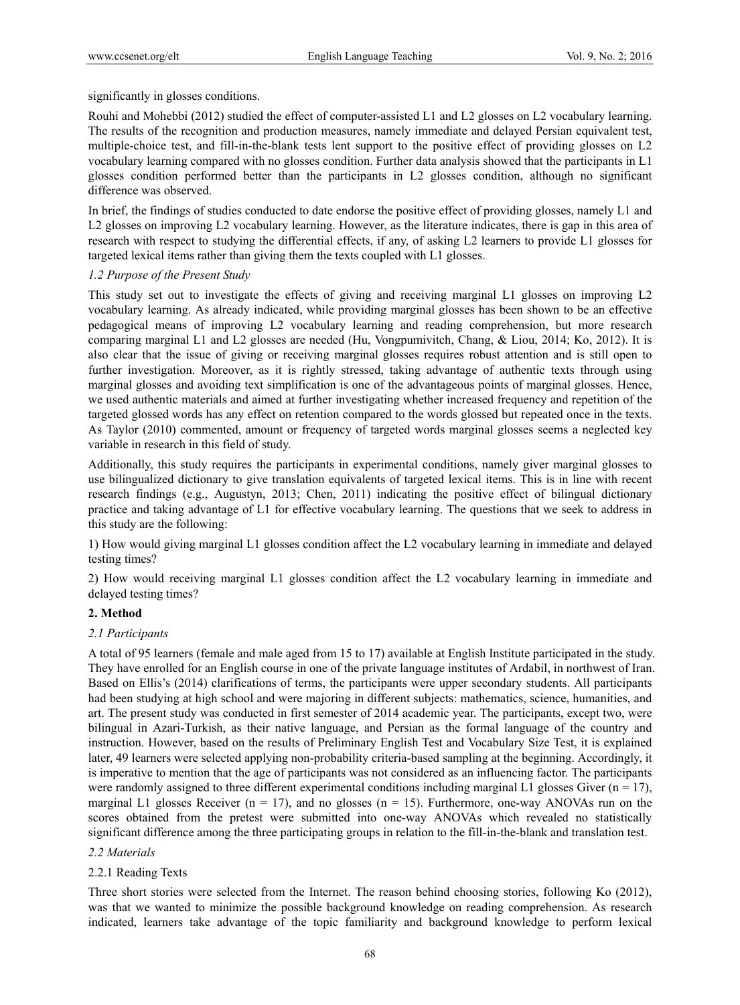significantly in glosses conditions.

Rouhi and Mohebbi (2012) studied the effect of computer-assisted L1 and L2 glosses on L2 vocabulary learning. The results of the recognition and production measures, namely immediate and delayed Persian equivalent test, multiple-choice test, and fill-in-the-blank tests lent support to the positive effect of providing glosses on L2 vocabulary learning compared with no glosses condition. Further data analysis showed that the participants in L1 glosses condition performed better than the participants in L2 glosses condition, although no significant difference was observed.

In brief, the findings of studies conducted to date endorse the positive effect of providing glosses, namely L1 and L2 glosses on improving L2 vocabulary learning. However, as the literature indicates, there is gap in this area of research with respect to studying the differential effects, if any, of asking L2 learners to provide L1 glosses for targeted lexical items rather than giving them the texts coupled with L1 glosses.

## *1.2 Purpose of the Present Study*

This study set out to investigate the effects of giving and receiving marginal L1 glosses on improving L2 vocabulary learning. As already indicated, while providing marginal glosses has been shown to be an effective pedagogical means of improving L2 vocabulary learning and reading comprehension, but more research comparing marginal L1 and L2 glosses are needed (Hu, Vongpumivitch, Chang, & Liou, 2014; Ko, 2012). It is also clear that the issue of giving or receiving marginal glosses requires robust attention and is still open to further investigation. Moreover, as it is rightly stressed, taking advantage of authentic texts through using marginal glosses and avoiding text simplification is one of the advantageous points of marginal glosses. Hence, we used authentic materials and aimed at further investigating whether increased frequency and repetition of the targeted glossed words has any effect on retention compared to the words glossed but repeated once in the texts. As Taylor (2010) commented, amount or frequency of targeted words marginal glosses seems a neglected key variable in research in this field of study.

Additionally, this study requires the participants in experimental conditions, namely giver marginal glosses to use bilingualized dictionary to give translation equivalents of targeted lexical items. This is in line with recent research findings (e.g., Augustyn, 2013; Chen, 2011) indicating the positive effect of bilingual dictionary practice and taking advantage of L1 for effective vocabulary learning. The questions that we seek to address in this study are the following:

1) How would giving marginal L1 glosses condition affect the L2 vocabulary learning in immediate and delayed testing times?

2) How would receiving marginal L1 glosses condition affect the L2 vocabulary learning in immediate and delayed testing times?

## **2. Method**

## *2.1 Participants*

A total of 95 learners (female and male aged from 15 to 17) available at English Institute participated in the study. They have enrolled for an English course in one of the private language institutes of Ardabil, in northwest of Iran. Based on Ellis's (2014) clarifications of terms, the participants were upper secondary students. All participants had been studying at high school and were majoring in different subjects: mathematics, science, humanities, and art. The present study was conducted in first semester of 2014 academic year. The participants, except two, were bilingual in Azari-Turkish, as their native language, and Persian as the formal language of the country and instruction. However, based on the results of Preliminary English Test and Vocabulary Size Test, it is explained later, 49 learners were selected applying non-probability criteria-based sampling at the beginning. Accordingly, it is imperative to mention that the age of participants was not considered as an influencing factor. The participants were randomly assigned to three different experimental conditions including marginal L1 glosses Giver  $(n = 17)$ , marginal L1 glosses Receiver ( $n = 17$ ), and no glosses ( $n = 15$ ). Furthermore, one-way ANOVAs run on the scores obtained from the pretest were submitted into one-way ANOVAs which revealed no statistically significant difference among the three participating groups in relation to the fill-in-the-blank and translation test.

## *2.2 Materials*

## 2.2.1 Reading Texts

Three short stories were selected from the Internet. The reason behind choosing stories, following Ko (2012), was that we wanted to minimize the possible background knowledge on reading comprehension. As research indicated, learners take advantage of the topic familiarity and background knowledge to perform lexical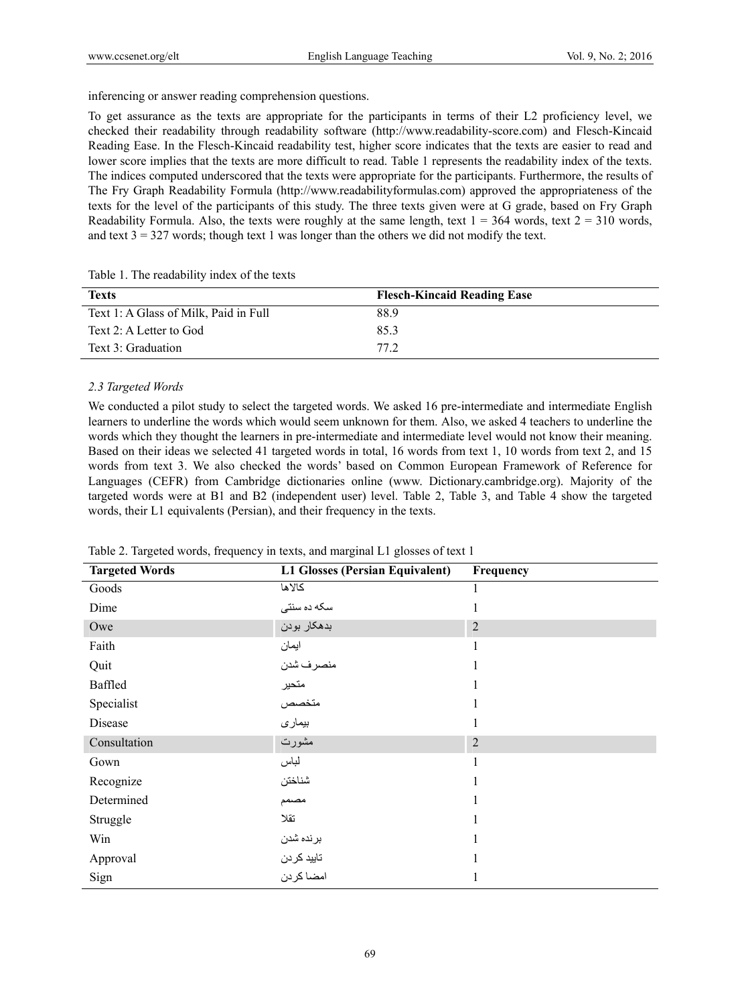inferencing or answer reading comprehension questions.

To get assurance as the texts are appropriate for the participants in terms of their L2 proficiency level, we checked their readability through readability software (http://www.readability-score.com) and Flesch-Kincaid Reading Ease. In the Flesch-Kincaid readability test, higher score indicates that the texts are easier to read and lower score implies that the texts are more difficult to read. Table 1 represents the readability index of the texts. The indices computed underscored that the texts were appropriate for the participants. Furthermore, the results of The Fry Graph Readability Formula (http://www.readabilityformulas.com) approved the appropriateness of the texts for the level of the participants of this study. The three texts given were at G grade, based on Fry Graph Readability Formula. Also, the texts were roughly at the same length, text  $1 = 364$  words, text  $2 = 310$  words, and text  $3 = 327$  words; though text 1 was longer than the others we did not modify the text.

| <b>Texts</b>                          | <b>Flesch-Kincaid Reading Ease</b> |
|---------------------------------------|------------------------------------|
| Text 1: A Glass of Milk, Paid in Full | 88.9                               |
| Text 2: A Letter to God               | 85.3                               |
| Text 3: Graduation                    | 77.2                               |

Table 1. The readability index of the texts

#### *2.3 Targeted Words*

We conducted a pilot study to select the targeted words. We asked 16 pre-intermediate and intermediate English learners to underline the words which would seem unknown for them. Also, we asked 4 teachers to underline the words which they thought the learners in pre-intermediate and intermediate level would not know their meaning. Based on their ideas we selected 41 targeted words in total, 16 words from text 1, 10 words from text 2, and 15 words from text 3. We also checked the words' based on Common European Framework of Reference for Languages (CEFR) from Cambridge dictionaries online (www. Dictionary.cambridge.org). Majority of the targeted words were at B1 and B2 (independent user) level. Table 2, Table 3, and Table 4 show the targeted words, their L1 equivalents (Persian), and their frequency in the texts.

| <b>Targeted Words</b> | <b>L1 Glosses (Persian Equivalent)</b> | Frequency      |
|-----------------------|----------------------------------------|----------------|
| Goods                 | كالاها                                 |                |
| Dime                  | سکه ده سنتی                            |                |
| Owe                   | بدهكار بودن                            | $\overline{2}$ |
| Faith                 | ايمان                                  |                |
| Quit                  | منصرف شدن                              |                |
| Baffled               | متحير                                  |                |
| Specialist            | متخصص<br>بیماری                        |                |
| Disease               |                                        | 1              |
| Consultation          | مشورت                                  | $\overline{2}$ |
| Gown                  | لباس                                   |                |
| Recognize             | شناختن                                 |                |
| Determined            | مصنمم                                  |                |
| Struggle              | تقلا                                   |                |
| Win                   | برنده شدن                              |                |
| Approval              | تاييد كردن                             |                |
| Sign                  | امضا كردن                              |                |

Table 2. Targeted words, frequency in texts, and marginal L1 glosses of text 1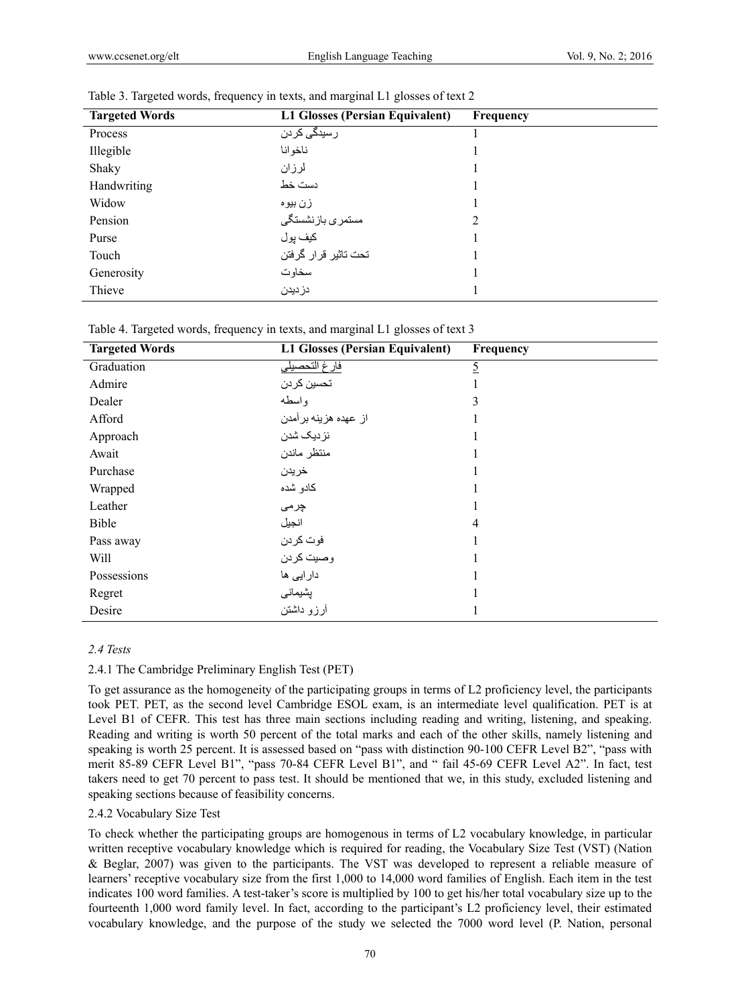| <b>Targeted Words</b> | L1 Glosses (Persian Equivalent) | Frequency |
|-----------------------|---------------------------------|-----------|
| Process               | رسیدگ <i>ی</i> ک <i>ر</i> دن    |           |
| Illegible             | ناخوانا                         |           |
| Shaky                 | لرزان                           |           |
| Handwriting           | دست خط                          |           |
| Widow                 | زن بیو ہ                        |           |
| Pension               | مستمرى بازنشستگى                | 2         |
| Purse                 | كيف يول                         |           |
| Touch                 | تحت تاثير قرار گرفتن            |           |
| Generosity            | سخاوت                           |           |
| Thieve                | دزديدن                          |           |

|  |  | Table 3. Targeted words, frequency in texts, and marginal L1 glosses of text 2 |
|--|--|--------------------------------------------------------------------------------|
|  |  |                                                                                |

Table 4. Targeted words, frequency in texts, and marginal L1 glosses of text 3

| <b>Targeted Words</b> | L1 Glosses (Persian Equivalent) | Frequency |
|-----------------------|---------------------------------|-----------|
| Graduation            | فارغ التحصيلي                   | <u>5</u>  |
| Admire                | تحسين كردن                      |           |
| Dealer                | و اسطه                          | 3         |
| Afford                | از عهده هزینه برآمدن            |           |
| Approach              | نزدیک شدن                       |           |
| Await                 | منتظر ماندن                     |           |
| Purchase              | خريدن                           |           |
| Wrapped               | كادو شده                        |           |
| Leather               | چرمی                            |           |
| Bible                 | انجيل                           | 4         |
| Pass away             | فوت كردن                        |           |
| Will                  | وصيت كردن                       |           |
| Possessions           | دار ایی ها                      |           |
| Regret                | پشیمانی                         |           |
| Desire                | أرزو دائستن                     |           |

## *2.4 Tests*

#### 2.4.1 The Cambridge Preliminary English Test (PET)

To get assurance as the homogeneity of the participating groups in terms of L2 proficiency level, the participants took PET. PET, as the second level Cambridge ESOL exam, is an intermediate level qualification. PET is at Level B1 of CEFR. This test has three main sections including reading and writing, listening, and speaking. Reading and writing is worth 50 percent of the total marks and each of the other skills, namely listening and speaking is worth 25 percent. It is assessed based on "pass with distinction 90-100 CEFR Level B2", "pass with merit 85-89 CEFR Level B1", "pass 70-84 CEFR Level B1", and " fail 45-69 CEFR Level A2". In fact, test takers need to get 70 percent to pass test. It should be mentioned that we, in this study, excluded listening and speaking sections because of feasibility concerns.

## 2.4.2 Vocabulary Size Test

To check whether the participating groups are homogenous in terms of L2 vocabulary knowledge, in particular written receptive vocabulary knowledge which is required for reading, the Vocabulary Size Test (VST) (Nation & Beglar, 2007) was given to the participants. The VST was developed to represent a reliable measure of learners' receptive vocabulary size from the first 1,000 to 14,000 word families of English. Each item in the test indicates 100 word families. A test-taker's score is multiplied by 100 to get his/her total vocabulary size up to the fourteenth 1,000 word family level. In fact, according to the participant's L2 proficiency level, their estimated vocabulary knowledge, and the purpose of the study we selected the 7000 word level (P. Nation, personal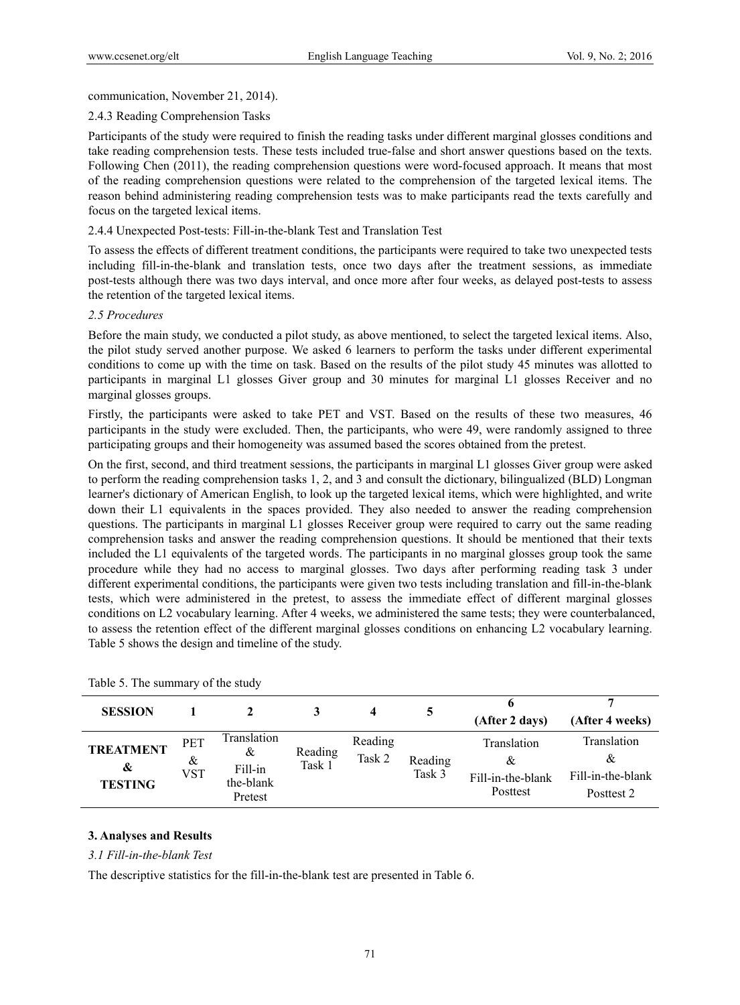## communication, November 21, 2014).

## 2.4.3 Reading Comprehension Tasks

Participants of the study were required to finish the reading tasks under different marginal glosses conditions and take reading comprehension tests. These tests included true-false and short answer questions based on the texts. Following Chen (2011), the reading comprehension questions were word-focused approach. It means that most of the reading comprehension questions were related to the comprehension of the targeted lexical items. The reason behind administering reading comprehension tests was to make participants read the texts carefully and focus on the targeted lexical items.

# 2.4.4 Unexpected Post-tests: Fill-in-the-blank Test and Translation Test

To assess the effects of different treatment conditions, the participants were required to take two unexpected tests including fill-in-the-blank and translation tests, once two days after the treatment sessions, as immediate post-tests although there was two days interval, and once more after four weeks, as delayed post-tests to assess the retention of the targeted lexical items.

# *2.5 Procedures*

Before the main study, we conducted a pilot study, as above mentioned, to select the targeted lexical items. Also, the pilot study served another purpose. We asked 6 learners to perform the tasks under different experimental conditions to come up with the time on task. Based on the results of the pilot study 45 minutes was allotted to participants in marginal L1 glosses Giver group and 30 minutes for marginal L1 glosses Receiver and no marginal glosses groups.

Firstly, the participants were asked to take PET and VST. Based on the results of these two measures, 46 participants in the study were excluded. Then, the participants, who were 49, were randomly assigned to three participating groups and their homogeneity was assumed based the scores obtained from the pretest.

On the first, second, and third treatment sessions, the participants in marginal L1 glosses Giver group were asked to perform the reading comprehension tasks 1, 2, and 3 and consult the dictionary, bilingualized (BLD) Longman learner's dictionary of American English, to look up the targeted lexical items, which were highlighted, and write down their L1 equivalents in the spaces provided. They also needed to answer the reading comprehension questions. The participants in marginal L1 glosses Receiver group were required to carry out the same reading comprehension tasks and answer the reading comprehension questions. It should be mentioned that their texts included the L1 equivalents of the targeted words. The participants in no marginal glosses group took the same procedure while they had no access to marginal glosses. Two days after performing reading task 3 under different experimental conditions, the participants were given two tests including translation and fill-in-the-blank tests, which were administered in the pretest, to assess the immediate effect of different marginal glosses conditions on L2 vocabulary learning. After 4 weeks, we administered the same tests; they were counterbalanced, to assess the retention effect of the different marginal glosses conditions on enhancing L2 vocabulary learning. Table 5 shows the design and timeline of the study.

| <b>SESSION</b>                          |                        |                                                     |                   | 4                 |                   | (After 2 days)                                    | (After 4 weeks)                                     |
|-----------------------------------------|------------------------|-----------------------------------------------------|-------------------|-------------------|-------------------|---------------------------------------------------|-----------------------------------------------------|
| <b>TREATMENT</b><br>&<br><b>TESTING</b> | PET<br>&<br><b>VST</b> | Translation<br>&<br>Fill-in<br>the-blank<br>Pretest | Reading<br>Task 1 | Reading<br>Task 2 | Reading<br>Task 3 | Translation<br>&<br>Fill-in-the-blank<br>Posttest | Translation<br>&<br>Fill-in-the-blank<br>Posttest 2 |

| Table 5. The summary of the study |  |
|-----------------------------------|--|
|-----------------------------------|--|

## **3. Analyses and Results**

# *3.1 Fill-in-the-blank Test*

The descriptive statistics for the fill-in-the-blank test are presented in Table 6.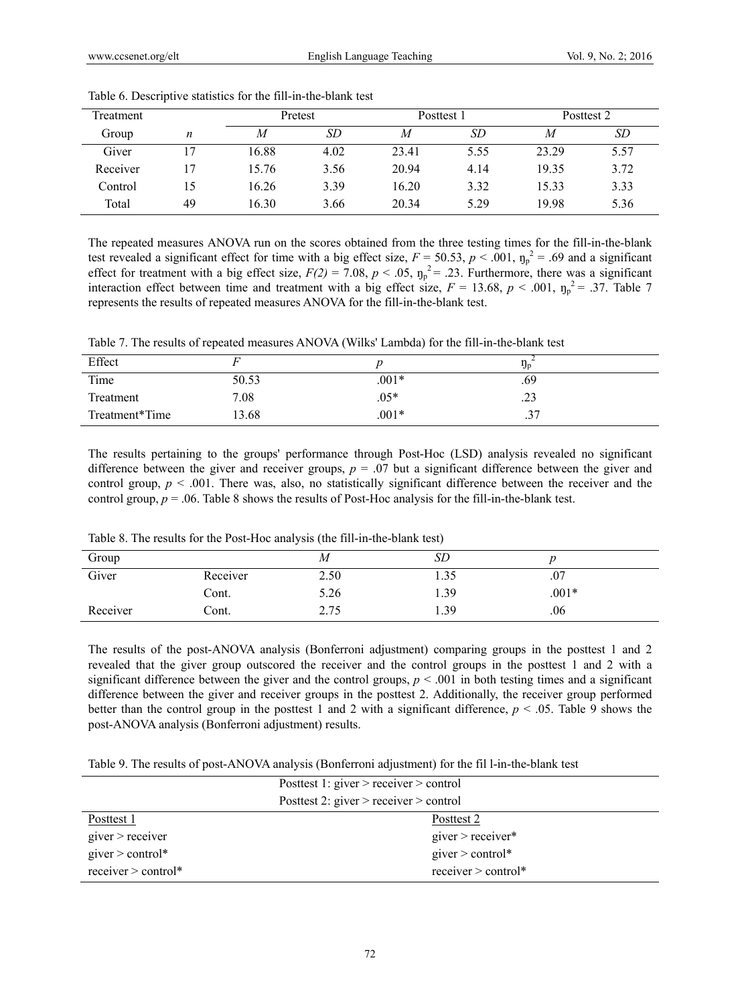| Treatment |    | Pretest |      | Posttest 1 |      | Posttest 2 |      |
|-----------|----|---------|------|------------|------|------------|------|
| Group     | n  | M       | SD   | M          | SD   | М          | SD   |
| Giver     |    | 16.88   | 4.02 | 23.41      | 5.55 | 23.29      | 5.57 |
| Receiver  |    | 15.76   | 3.56 | 20.94      | 4.14 | 19.35      | 3.72 |
| Control   | 15 | 16.26   | 3.39 | 16.20      | 3.32 | 15.33      | 3.33 |
| Total     | 49 | 16.30   | 3.66 | 20.34      | 5.29 | 19.98      | 5.36 |

Table 6. Descriptive statistics for the fill-in-the-blank test

The repeated measures ANOVA run on the scores obtained from the three testing times for the fill-in-the-blank test revealed a significant effect for time with a big effect size,  $F = 50.53$ ,  $p < .001$ ,  $\eta_p^2 = .69$  and a significant effect for treatment with a big effect size,  $F(2) = 7.08$ ,  $p < .05$ ,  $\eta_p^2 = .23$ . Furthermore, there was a significant interaction effect between time and treatment with a big effect size,  $F = 13.68$ ,  $p < .001$ ,  $\eta_p^2 = .37$ . Table 7 represents the results of repeated measures ANOVA for the fill-in-the-blank test.

| Table 7. The results of repeated measures ANOVA (Wilks' Lambda) for the fill-in-the-blank test |  |  |
|------------------------------------------------------------------------------------------------|--|--|
|------------------------------------------------------------------------------------------------|--|--|

| Effect         |       |         | - Jp           |
|----------------|-------|---------|----------------|
| Time           | 50.53 | $.001*$ | .69            |
| Treatment      | 7.08  | $.05*$  | ر ے.           |
| Treatment*Time | 13.68 | $.001*$ | $\gamma$<br>.J |

The results pertaining to the groups' performance through Post-Hoc (LSD) analysis revealed no significant difference between the giver and receiver groups,  $p = 0.07$  but a significant difference between the giver and control group,  $p < .001$ . There was, also, no statistically significant difference between the receiver and the control group,  $p = 0.06$ . Table 8 shows the results of Post-Hoc analysis for the fill-in-the-blank test.

| Group    |          | М    | SD   |         |
|----------|----------|------|------|---------|
| Giver    | Receiver | 2.50 | 1.JJ | .v /    |
|          | Cont.    | 5.26 | 1.39 | $.001*$ |
| Receiver | Cont.    | 2.75 | 1.39 | .06     |

Table 8. The results for the Post-Hoc analysis (the fill-in-the-blank test)

The results of the post-ANOVA analysis (Bonferroni adjustment) comparing groups in the posttest 1 and 2 revealed that the giver group outscored the receiver and the control groups in the posttest 1 and 2 with a significant difference between the giver and the control groups,  $p < .001$  in both testing times and a significant difference between the giver and receiver groups in the posttest 2. Additionally, the receiver group performed better than the control group in the posttest 1 and 2 with a significant difference,  $p < .05$ . Table 9 shows the post-ANOVA analysis (Bonferroni adjustment) results.

Table 9. The results of post-ANOVA analysis (Bonferroni adjustment) for the fil l-in-the-blank test

|                           | Posttest 1: giver $>$ receiver $>$ control |  |  |
|---------------------------|--------------------------------------------|--|--|
|                           | Posttest 2: given $>$ receiver $>$ control |  |  |
| Posttest 1                | Posttest 2                                 |  |  |
| $\text{given}$ > receiver | $\text{given}$ > receiver*                 |  |  |
| giver $>$ control*        | giver $>$ control*                         |  |  |
| receiver $>$ control*     | receiver $>$ control*                      |  |  |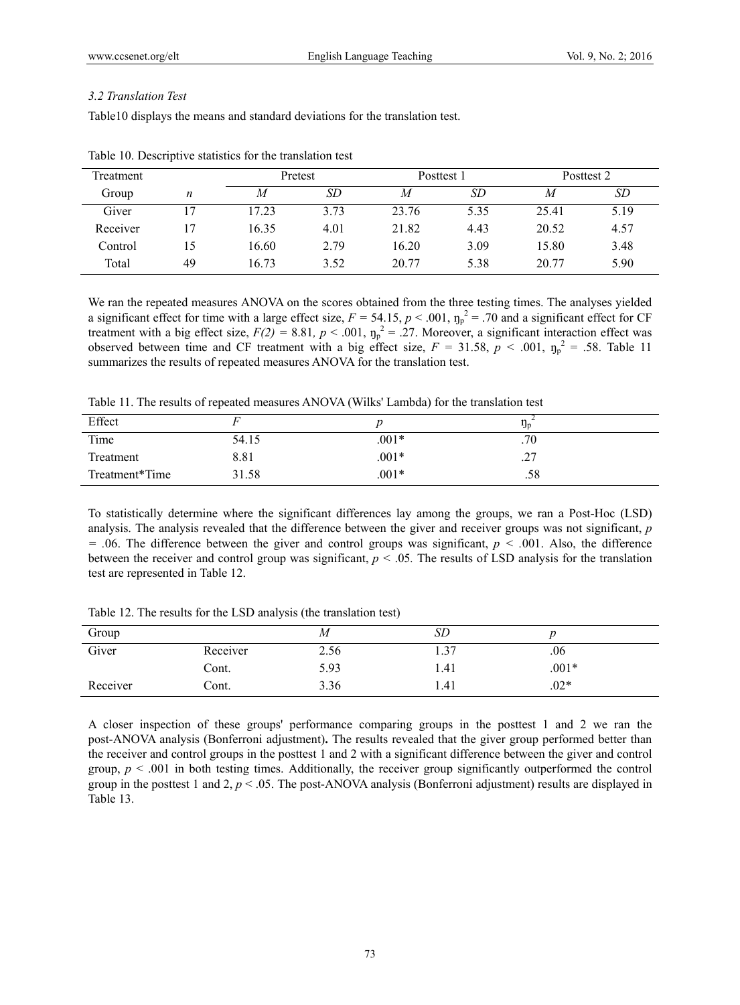## *3.2 Translation Test*

Table10 displays the means and standard deviations for the translation test.

| Treatment |    | Pretest |      | Posttest 1 |      |       | Posttest 2 |
|-----------|----|---------|------|------------|------|-------|------------|
| Group     | n  | M       | SD   | M          | SD   | M     | <i>SD</i>  |
| Giver     | 7  | 17.23   | 3.73 | 23.76      | 5.35 | 25.41 | 5.19       |
| Receiver  |    | 16.35   | 4.01 | 21.82      | 4.43 | 20.52 | 4.57       |
| Control   | 15 | 16.60   | 2.79 | 16.20      | 3.09 | 15.80 | 3.48       |
| Total     | 49 | 16.73   | 3.52 | 20.77      | 5.38 | 20.77 | 5.90       |

Table 10. Descriptive statistics for the translation test

We ran the repeated measures ANOVA on the scores obtained from the three testing times. The analyses yielded a significant effect for time with a large effect size,  $F = 54.15$ ,  $p < .001$ ,  $\eta_p^2 = .70$  and a significant effect for CF treatment with a big effect size,  $F(2) = 8.81$ ,  $p < .001$ ,  $\eta_p^2 = .27$ . Moreover, a significant interaction effect was observed between time and CF treatment with a big effect size,  $F = 31.58$ ,  $p < .001$ ,  $\eta_p^2 = .58$ . Table 11 summarizes the results of repeated measures ANOVA for the translation test.

Table 11. The results of repeated measures ANOVA (Wilks' Lambda) for the translation test

| Effect         |       |         | -Jp       |
|----------------|-------|---------|-----------|
| Time           | 54.15 | $.001*$ | .70       |
| Treatment      | 8.81  | $.001*$ | າາ<br>ا ت |
| Treatment*Time | 31.58 | $.001*$ | .58       |

To statistically determine where the significant differences lay among the groups, we ran a Post-Hoc (LSD) analysis. The analysis revealed that the difference between the giver and receiver groups was not significant, *p = .*06. The difference between the giver and control groups was significant, *p < .*001. Also, the difference between the receiver and control group was significant, *p <* .05*.* The results of LSD analysis for the translation test are represented in Table 12.

| Group    |          | М    | SD         |         |
|----------|----------|------|------------|---------|
| Giver    | Receiver | 2.56 | 37<br>ر. 1 | .06     |
|          | Cont.    | 5.93 | 1.41       | $.001*$ |
| Receiver | Cont.    | 3.36 | 1.41       | $.02*$  |

Table 12. The results for the LSD analysis (the translation test)

A closer inspection of these groups' performance comparing groups in the posttest 1 and 2 we ran the post-ANOVA analysis (Bonferroni adjustment)**.** The results revealed that the giver group performed better than the receiver and control groups in the posttest 1 and 2 with a significant difference between the giver and control group,  $p \leq 0.001$  in both testing times. Additionally, the receiver group significantly outperformed the control group in the posttest 1 and 2,  $p < 0.05$ . The post-ANOVA analysis (Bonferroni adjustment) results are displayed in Table 13.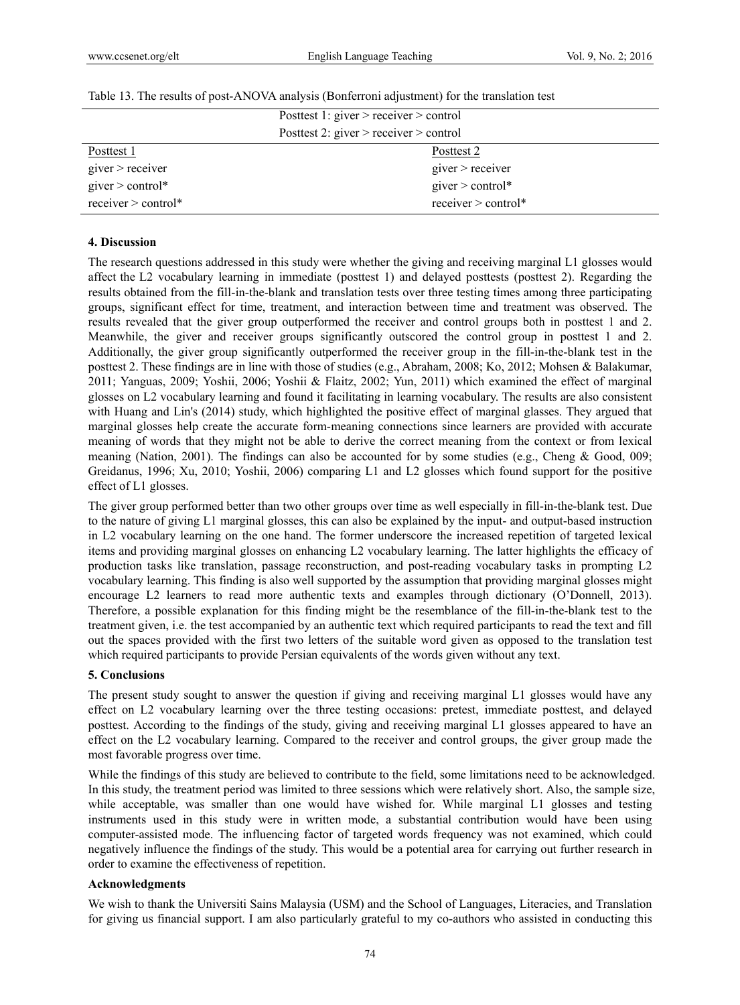|                           | Posttest 1: giver $>$ receiver $>$ control |  |  |
|---------------------------|--------------------------------------------|--|--|
|                           | Posttest 2: giver $>$ receiver $>$ control |  |  |
| Posttest 1                | Posttest 2                                 |  |  |
| $\text{given}$ > receiver | $\text{given}$ > receiver                  |  |  |
| giver $>$ control*        | giver $>$ control*                         |  |  |
| $receiver > control*$     | $receiver > control*$                      |  |  |

#### Table 13. The results of post-ANOVA analysis (Bonferroni adjustment) for the translation test

#### **4. Discussion**

The research questions addressed in this study were whether the giving and receiving marginal L1 glosses would affect the L2 vocabulary learning in immediate (posttest 1) and delayed posttests (posttest 2). Regarding the results obtained from the fill-in-the-blank and translation tests over three testing times among three participating groups, significant effect for time, treatment, and interaction between time and treatment was observed. The results revealed that the giver group outperformed the receiver and control groups both in posttest 1 and 2. Meanwhile, the giver and receiver groups significantly outscored the control group in posttest 1 and 2. Additionally, the giver group significantly outperformed the receiver group in the fill-in-the-blank test in the posttest 2. These findings are in line with those of studies (e.g., Abraham, 2008; Ko, 2012; Mohsen & Balakumar, 2011; Yanguas, 2009; Yoshii, 2006; Yoshii & Flaitz, 2002; Yun, 2011) which examined the effect of marginal glosses on L2 vocabulary learning and found it facilitating in learning vocabulary. The results are also consistent with Huang and Lin's (2014) study, which highlighted the positive effect of marginal glasses. They argued that marginal glosses help create the accurate form-meaning connections since learners are provided with accurate meaning of words that they might not be able to derive the correct meaning from the context or from lexical meaning (Nation, 2001). The findings can also be accounted for by some studies (e.g., Cheng & Good, 009; Greidanus, 1996; Xu, 2010; Yoshii, 2006) comparing L1 and L2 glosses which found support for the positive effect of L1 glosses.

The giver group performed better than two other groups over time as well especially in fill-in-the-blank test. Due to the nature of giving L1 marginal glosses, this can also be explained by the input- and output-based instruction in L2 vocabulary learning on the one hand. The former underscore the increased repetition of targeted lexical items and providing marginal glosses on enhancing L2 vocabulary learning. The latter highlights the efficacy of production tasks like translation, passage reconstruction, and post-reading vocabulary tasks in prompting L2 vocabulary learning. This finding is also well supported by the assumption that providing marginal glosses might encourage L2 learners to read more authentic texts and examples through dictionary (O'Donnell, 2013). Therefore, a possible explanation for this finding might be the resemblance of the fill-in-the-blank test to the treatment given, i.e. the test accompanied by an authentic text which required participants to read the text and fill out the spaces provided with the first two letters of the suitable word given as opposed to the translation test which required participants to provide Persian equivalents of the words given without any text.

#### **5. Conclusions**

The present study sought to answer the question if giving and receiving marginal L1 glosses would have any effect on L2 vocabulary learning over the three testing occasions: pretest, immediate posttest, and delayed posttest. According to the findings of the study, giving and receiving marginal L1 glosses appeared to have an effect on the L2 vocabulary learning. Compared to the receiver and control groups, the giver group made the most favorable progress over time.

While the findings of this study are believed to contribute to the field, some limitations need to be acknowledged. In this study, the treatment period was limited to three sessions which were relatively short. Also, the sample size, while acceptable, was smaller than one would have wished for. While marginal L1 glosses and testing instruments used in this study were in written mode, a substantial contribution would have been using computer-assisted mode. The influencing factor of targeted words frequency was not examined, which could negatively influence the findings of the study. This would be a potential area for carrying out further research in order to examine the effectiveness of repetition.

#### **Acknowledgments**

We wish to thank the Universiti Sains Malaysia (USM) and the School of Languages, Literacies, and Translation for giving us financial support. I am also particularly grateful to my co-authors who assisted in conducting this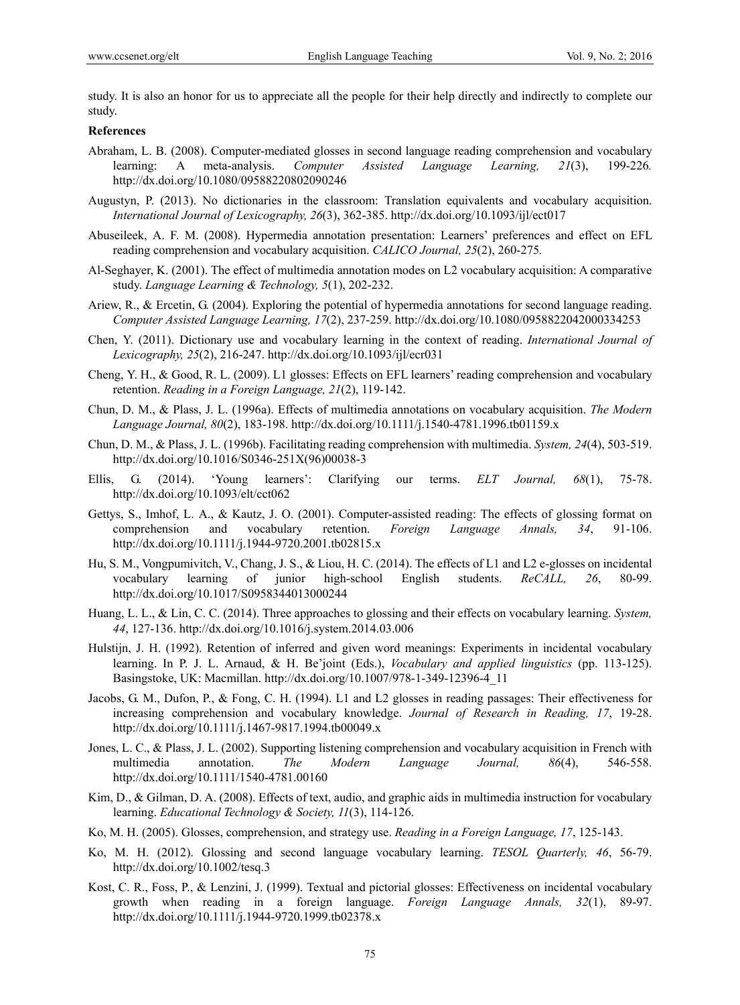study. It is also an honor for us to appreciate all the people for their help directly and indirectly to complete our study.

## **References**

- Abraham, L. B. (2008). Computer-mediated glosses in second language reading comprehension and vocabulary learning: A meta-analysis. *Computer Assisted Language Learning, 21*(3), 199-226*.*  http://dx.doi.org/10.1080/09588220802090246
- Augustyn, P. (2013). No dictionaries in the classroom: Translation equivalents and vocabulary acquisition. *International Journal of Lexicography, 26*(3), 362-385. http://dx.doi.org/10.1093/ijl/ect017
- Abuseileek, A. F. M. (2008). Hypermedia annotation presentation: Learners' preferences and effect on EFL reading comprehension and vocabulary acquisition. *CALICO Journal, 25*(2), 260-275*.*
- Al-Seghayer, K. (2001). The effect of multimedia annotation modes on L2 vocabulary acquisition: A comparative study. *Language Learning & Technology, 5*(1), 202-232.
- Ariew, R., & Ercetin, G. (2004). Exploring the potential of hypermedia annotations for second language reading. *Computer Assisted Language Learning, 17*(2), 237-259. http://dx.doi.org/10.1080/0958822042000334253
- Chen, Y. (2011). Dictionary use and vocabulary learning in the context of reading. *International Journal of Lexicography, 25*(2), 216-247. http://dx.doi.org/10.1093/ijl/ecr031
- Cheng, Y. H., & Good, R. L. (2009). L1 glosses: Effects on EFL learners' reading comprehension and vocabulary retention. *Reading in a Foreign Language, 21*(2), 119-142.
- Chun, D. M., & Plass, J. L. (1996a). Effects of multimedia annotations on vocabulary acquisition. *The Modern Language Journal, 80*(2), 183-198. http://dx.doi.org/10.1111/j.1540-4781.1996.tb01159.x
- Chun, D. M., & Plass, J. L. (1996b). Facilitating reading comprehension with multimedia. *System, 24*(4), 503-519. http://dx.doi.org/10.1016/S0346-251X(96)00038-3
- Ellis, G. (2014). 'Young learners': Clarifying our terms. *ELT Journal, 68*(1), 75-78. http://dx.doi.org/10.1093/elt/cct062
- Gettys, S., Imhof, L. A., & Kautz, J. O. (2001). Computer-assisted reading: The effects of glossing format on comprehension and vocabulary retention. *Foreign Language Annals, 34*, 91-106. http://dx.doi.org/10.1111/j.1944-9720.2001.tb02815.x
- Hu, S. M., Vongpumivitch, V., Chang, J. S., & Liou, H. C. (2014). The effects of L1 and L2 e-glosses on incidental vocabulary learning of junior high-school English students. *ReCALL, 26*, 80-99. http://dx.doi.org/10.1017/S0958344013000244
- Huang, L. L., & Lin, C. C. (2014). Three approaches to glossing and their effects on vocabulary learning. *System, 44*, 127-136. http://dx.doi.org/10.1016/j.system.2014.03.006
- Hulstijn, J. H. (1992). Retention of inferred and given word meanings: Experiments in incidental vocabulary learning. In P. J. L. Arnaud, & H. Be'joint (Eds.), *Vocabulary and applied linguistics* (pp. 113-125). Basingstoke, UK: Macmillan. http://dx.doi.org/10.1007/978-1-349-12396-4\_11
- Jacobs, G. M., Dufon, P., & Fong, C. H. (1994). L1 and L2 glosses in reading passages: Their effectiveness for increasing comprehension and vocabulary knowledge. *Journal of Research in Reading, 17*, 19-28. http://dx.doi.org/10.1111/j.1467-9817.1994.tb00049.x
- Jones, L. C., & Plass, J. L. (2002). Supporting listening comprehension and vocabulary acquisition in French with multimedia annotation. *The Modern Language Journal, 86*(4), 546-558. http://dx.doi.org/10.1111/1540-4781.00160
- Kim, D., & Gilman, D. A. (2008). Effects of text, audio, and graphic aids in multimedia instruction for vocabulary learning. *Educational Technology & Society, 11*(3), 114-126.
- Ko, M. H. (2005). Glosses, comprehension, and strategy use. *Reading in a Foreign Language, 17*, 125-143.
- Ko, M. H. (2012). Glossing and second language vocabulary learning. *TESOL Quarterly, 46*, 56-79. http://dx.doi.org/10.1002/tesq.3
- Kost, C. R., Foss, P., & Lenzini, J. (1999). Textual and pictorial glosses: Effectiveness on incidental vocabulary growth when reading in a foreign language. *Foreign Language Annals, 32*(1), 89-97. http://dx.doi.org/10.1111/j.1944-9720.1999.tb02378.x